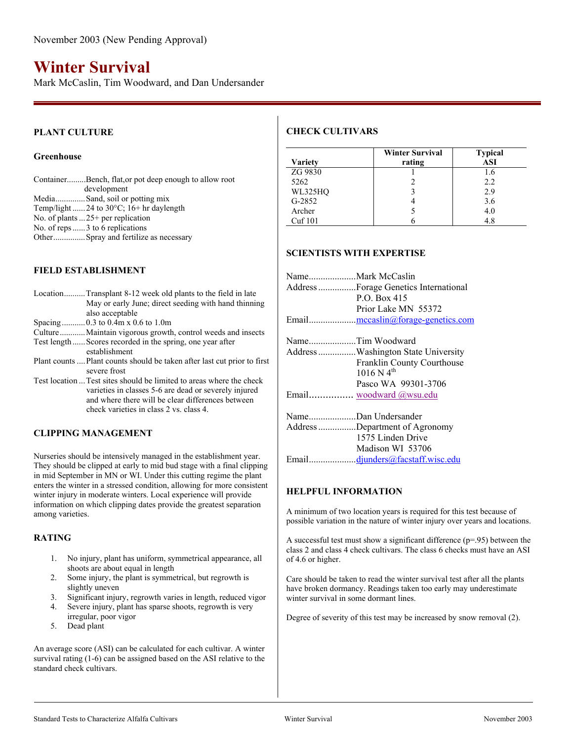# **Winter Survival**

Mark McCaslin, Tim Woodward, and Dan Undersander

## **PLANT CULTURE**

#### **Greenhouse**

| ContainerBench, flat, or pot deep enough to allow root |
|--------------------------------------------------------|
| development                                            |
| MediaSand, soil or potting mix                         |
| Temp/light  24 to 30 $^{\circ}$ C; 16+ hr daylength    |
| No. of plants $\dots$ 25+ per replication              |
| No. of reps3 to 6 replications                         |
| Other Spray and fertilize as necessary                 |

## **FIELD ESTABLISHMENT**

|               | LocationTransplant 8-12 week old plants to the field in late |
|---------------|--------------------------------------------------------------|
|               | May or early June; direct seeding with hand thinning         |
|               | also acceptable                                              |
|               |                                                              |
|               | Culture Maintain vigorous growth, control weeds and insects  |
|               | Test length  Scores recorded in the spring, one year after   |
|               | establishment                                                |
| $Dout$ counts | Dlant counts should be taken often lost out prior to fire    |

- Plant counts ....Plant counts should be taken after last cut prior to first severe frost
- Test location ...Test sites should be limited to areas where the check varieties in classes 5-6 are dead or severely injured and where there will be clear differences between check varieties in class 2 vs. class 4.

#### **CLIPPING MANAGEMENT**

Nurseries should be intensively managed in the establishment year. They should be clipped at early to mid bud stage with a final clipping in mid September in MN or WI. Under this cutting regime the plant enters the winter in a stressed condition, allowing for more consistent winter injury in moderate winters. Local experience will provide information on which clipping dates provide the greatest separation among varieties.

#### **RATING**

- 1. No injury, plant has uniform, symmetrical appearance, all shoots are about equal in length
- 2. Some injury, the plant is symmetrical, but regrowth is slightly uneven
- 3. Significant injury, regrowth varies in length, reduced vigor
- 4. Severe injury, plant has sparse shoots, regrowth is very
- irregular, poor vigor
- 5. Dead plant

An average score (ASI) can be calculated for each cultivar. A winter survival rating (1-6) can be assigned based on the ASI relative to the standard check cultivars.

# **CHECK CULTIVARS**

| <b>Variety</b> | <b>Winter Survival</b><br>rating | <b>Typical</b><br><b>ASI</b> |
|----------------|----------------------------------|------------------------------|
| ZG 9830        |                                  | 1.6                          |
| 5262           |                                  | 2.2                          |
| WL325HQ        |                                  | 2.9                          |
| $G-2852$       |                                  | 3.6                          |
| Archer         |                                  | 4.0                          |
| Cuf 101        |                                  | 4.8                          |

#### **SCIENTISTS WITH EXPERTISE**

| NameMark McCaslin                             |
|-----------------------------------------------|
| Address  Forage Genetics International        |
| P.O. Box 415                                  |
| Prior Lake MN 55372                           |
| Email <u>mccaslin@forage-genetics.com</u>     |
| NameTim Woodward                              |
| Address Washington State University           |
| Franklin County Courthouse<br>$1016 N 4^{th}$ |
| Pasco WA 99301-3706                           |
|                                               |
| NameDan Undersander                           |
| AddressDepartment of Agronomy                 |
| 1575 Linden Drive                             |
| Madison WI 53706                              |
|                                               |

#### **HELPFUL INFORMATION**

A minimum of two location years is required for this test because of possible variation in the nature of winter injury over years and locations.

A successful test must show a significant difference  $(p=0.95)$  between the class 2 and class 4 check cultivars. The class 6 checks must have an ASI of 4.6 or higher.

Care should be taken to read the winter survival test after all the plants have broken dormancy. Readings taken too early may underestimate winter survival in some dormant lines.

Degree of severity of this test may be increased by snow removal (2).